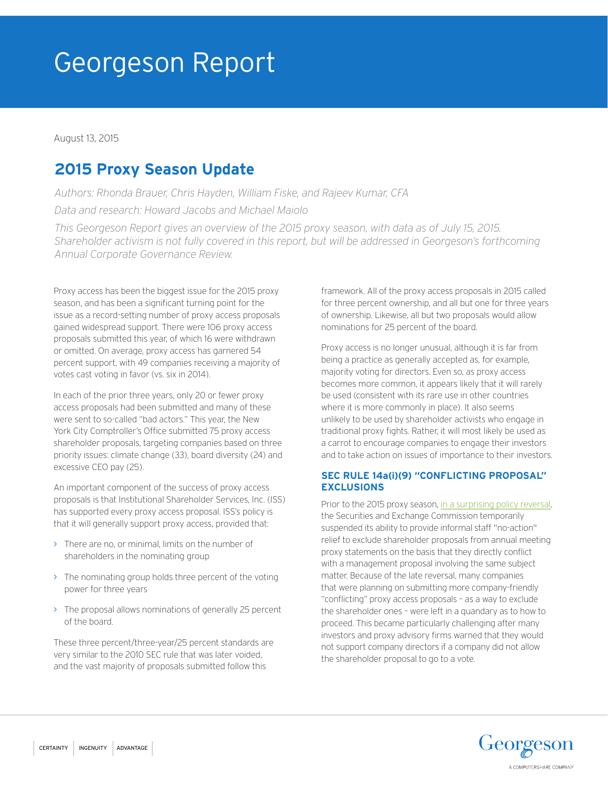# Georgeson Report

August 13, 2015

# **2015 Proxy Season Update**

*Authors: Rhonda Brauer, Chris Hayden, William Fiske, and Rajeev Kumar, CFA*

*Data and research: Howard Jacobs and Michael Maiolo*

*This Georgeson Report gives an overview of the 2015 proxy season, with data as of July 15, 2015. Shareholder activism is not fully covered in this report, but will be addressed in Georgeson's forthcoming Annual Corporate Governance Review.*

Proxy access has been the biggest issue for the 2015 proxy season, and has been a significant turning point for the issue as a record-setting number of proxy access proposals gained widespread support. There were 106 proxy access proposals submitted this year, of which 16 were withdrawn or omitted. On average, proxy access has garnered 54 percent support, with 49 companies receiving a majority of votes cast voting in favor (vs. six in 2014).

In each of the prior three years, only 20 or fewer proxy access proposals had been submitted and many of these were sent to so-called "bad actors." This year, the New York City Comptroller's Office submitted 75 proxy access shareholder proposals, targeting companies based on three priority issues: climate change (33), board diversity (24) and excessive CEO pay (25).

An important component of the success of proxy access proposals is that Institutional Shareholder Services, Inc. (ISS) has supported every proxy access proposal. ISS's policy is that it will generally support proxy access, provided that:

- > There are no, or minimal, limits on the number of shareholders in the nominating group
- > The nominating group holds three percent of the voting power for three years
- > The proposal allows nominations of generally 25 percent of the board.

These three percent/three-year/25 percent standards are very similar to the 2010 SEC rule that was later voided, and the vast majority of proposals submitted follow this

framework. All of the proxy access proposals in 2015 called for three percent ownership, and all but one for three years of ownership. Likewise, all but two proposals would allow nominations for 25 percent of the board.

Proxy access is no longer unusual, although it is far from being a practice as generally accepted as, for example, majority voting for directors. Even so, as proxy access becomes more common, it appears likely that it will rarely be used (consistent with its rare use in other countries where it is more commonly in place). It also seems unlikely to be used by shareholder activists who engage in traditional proxy fights. Rather, it will most likely be used as a carrot to encourage companies to engage their investors and to take action on issues of importance to their investors.

### **SEC RULE 14a(i)(9) "CONFLICTING PROPOSAL" EXCLUSIONS**

Prior to the 2015 proxy season, in a surprising policy reversal, the Securities and Exchange Commission temporarily suspended its ability to provide informal staff "no-action" relief to exclude shareholder proposals from annual meeting proxy statements on the basis that they directly conflict with a management proposal involving the same subject matter. Because of the late reversal, many companies that were planning on submitting more company-friendly "conflicting" proxy access proposals – as a way to exclude the shareholder ones – were left in a quandary as to how to proceed. This became particularly challenging after many investors and proxy advisory firms warned that they would not support company directors if a company did not allow the shareholder proposal to go to a vote.

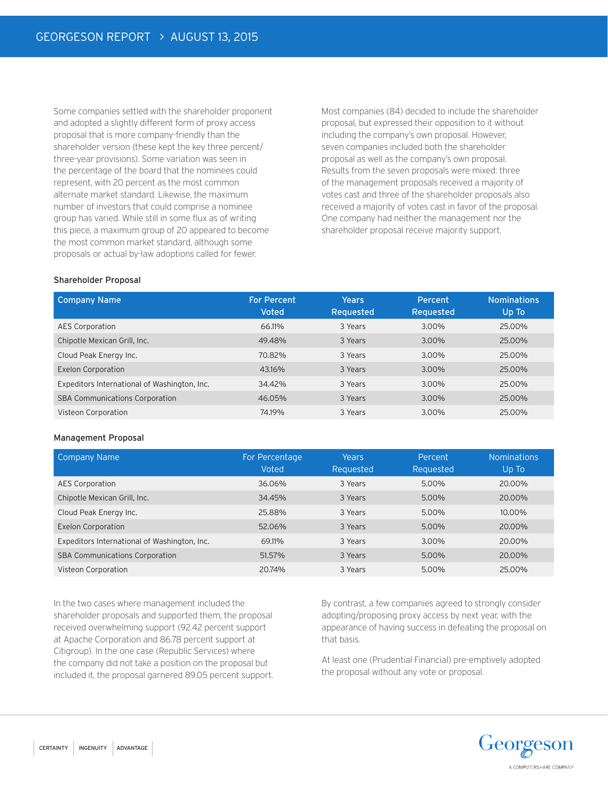Some companies settled with the shareholder proponent and adopted a slightly different form of proxy access proposal that is more company-friendly than the shareholder version (these kept the key three percent/ three-year provisions). Some variation was seen in the percentage of the board that the nominees could represent, with 20 percent as the most common alternate market standard. Likewise, the maximum number of investors that could comprise a nominee group has varied. While still in some flux as of writing this piece, a maximum group of 20 appeared to become the most common market standard, although some proposals or actual by-law adoptions called for fewer.

Most companies (84) decided to include the shareholder proposal, but expressed their opposition to it without including the company's own proposal. However, seven companies included both the shareholder proposal as well as the company's own proposal. Results from the seven proposals were mixed: three of the management proposals received a majority of votes cast and three of the shareholder proposals also received a majority of votes cast in favor of the proposal. One company had neither the management nor the shareholder proposal receive majority support.

#### Shareholder Proposal

| Company Name                                 | <b>For Percent</b><br><b>Voted</b> | Years<br>Requested | Percent<br>Requested | <b>Nominations</b><br>Up To |
|----------------------------------------------|------------------------------------|--------------------|----------------------|-----------------------------|
| <b>AES Corporation</b>                       | 66.11%                             | 3 Years            | 3.00%                | 25.00%                      |
| Chipotle Mexican Grill, Inc.                 | 49.48%                             | 3 Years            | 3.00%                | 25.00%                      |
| Cloud Peak Energy Inc.                       | 70.82%                             | 3 Years            | 3.00%                | 25.00%                      |
| <b>Exelon Corporation</b>                    | 43.16%                             | 3 Years            | 3.00%                | 25.00%                      |
| Expeditors International of Washington, Inc. | 34.42%                             | 3 Years            | 3.00%                | 25.00%                      |
| <b>SBA Communications Corporation</b>        | 46.05%                             | 3 Years            | 3.00%                | 25.00%                      |
| Visteon Corporation                          | 74.19%                             | 3 Years            | 3.00%                | 25.00%                      |

#### Management Proposal

| <b>Company Name</b>                          | For Percentage<br>Voted | Years<br>Requested | Percent<br>Requested | <b>Nominations</b><br>Up To |
|----------------------------------------------|-------------------------|--------------------|----------------------|-----------------------------|
| <b>AES Corporation</b>                       | 36.06%                  | 3 Years            | 5.00%                | 20.00%                      |
| Chipotle Mexican Grill, Inc.                 | 34.45%                  | 3 Years            | 5.00%                | 20.00%                      |
| Cloud Peak Energy Inc.                       | 25.88%                  | 3 Years            | 5.00%                | 10.00%                      |
| <b>Exelon Corporation</b>                    | 52.06%                  | 3 Years            | 5.00%                | 20.00%                      |
| Expeditors International of Washington, Inc. | 69.11%                  | 3 Years            | 3.00%                | 20.00%                      |
| <b>SBA Communications Corporation</b>        | 51.57%                  | 3 Years            | 5.00%                | 20.00%                      |
| Visteon Corporation                          | 20.74%                  | 3 Years            | 5.00%                | 25.00%                      |

In the two cases where management included the shareholder proposals and supported them, the proposal received overwhelming support (92.42 percent support at Apache Corporation and 86.78 percent support at Citigroup). In the one case (Republic Services) where the company did not take a position on the proposal but included it, the proposal garnered 89.05 percent support. By contrast, a few companies agreed to strongly consider adopting/proposing proxy access by next year, with the appearance of having success in defeating the proposal on that basis.

At least one (Prudential Financial) pre-emptively adopted the proposal without any vote or proposal.

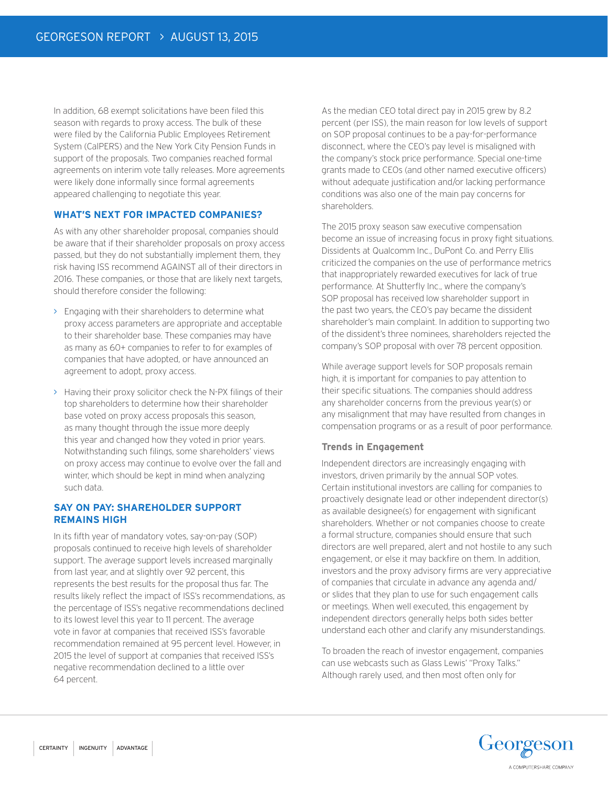In addition, 68 exempt solicitations have been filed this season with regards to proxy access. The bulk of these were filed by the California Public Employees Retirement System (CalPERS) and the New York City Pension Funds in support of the proposals. Two companies reached formal agreements on interim vote tally releases. More agreements were likely done informally since formal agreements appeared challenging to negotiate this year.

#### **WHAT'S NEXT FOR IMPACTED COMPANIES?**

As with any other shareholder proposal, companies should be aware that if their shareholder proposals on proxy access passed, but they do not substantially implement them, they risk having ISS recommend AGAINST all of their directors in 2016. These companies, or those that are likely next targets, should therefore consider the following:

- > Engaging with their shareholders to determine what proxy access parameters are appropriate and acceptable to their shareholder base. These companies may have as many as 60+ companies to refer to for examples of companies that have adopted, or have announced an agreement to adopt, proxy access.
- > Having their proxy solicitor check the N-PX filings of their top shareholders to determine how their shareholder base voted on proxy access proposals this season, as many thought through the issue more deeply this year and changed how they voted in prior years. Notwithstanding such filings, some shareholders' views on proxy access may continue to evolve over the fall and winter, which should be kept in mind when analyzing such data.

## **SAY ON PAY: SHAREHOLDER SUPPORT REMAINS HIGH**

In its fifth year of mandatory votes, say-on-pay (SOP) proposals continued to receive high levels of shareholder support. The average support levels increased marginally from last year, and at slightly over 92 percent, this represents the best results for the proposal thus far. The results likely reflect the impact of ISS's recommendations, as the percentage of ISS's negative recommendations declined to its lowest level this year to 11 percent. The average vote in favor at companies that received ISS's favorable recommendation remained at 95 percent level. However, in 2015 the level of support at companies that received ISS's negative recommendation declined to a little over 64 percent.

As the median CEO total direct pay in 2015 grew by 8.2 percent (per ISS), the main reason for low levels of support on SOP proposal continues to be a pay-for-performance disconnect, where the CEO's pay level is misaligned with the company's stock price performance. Special one-time grants made to CEOs (and other named executive officers) without adequate justification and/or lacking performance conditions was also one of the main pay concerns for shareholders.

The 2015 proxy season saw executive compensation become an issue of increasing focus in proxy fight situations. Dissidents at Qualcomm Inc., DuPont Co. and Perry Ellis criticized the companies on the use of performance metrics that inappropriately rewarded executives for lack of true performance. At Shutterfly Inc., where the company's SOP proposal has received low shareholder support in the past two years, the CEO's pay became the dissident shareholder's main complaint. In addition to supporting two of the dissident's three nominees, shareholders rejected the company's SOP proposal with over 78 percent opposition.

While average support levels for SOP proposals remain high, it is important for companies to pay attention to their specific situations. The companies should address any shareholder concerns from the previous year(s) or any misalignment that may have resulted from changes in compensation programs or as a result of poor performance.

#### **Trends in Engagement**

Independent directors are increasingly engaging with investors, driven primarily by the annual SOP votes. Certain institutional investors are calling for companies to proactively designate lead or other independent director(s) as available designee(s) for engagement with significant shareholders. Whether or not companies choose to create a formal structure, companies should ensure that such directors are well prepared, alert and not hostile to any such engagement, or else it may backfire on them. In addition, investors and the proxy advisory firms are very appreciative of companies that circulate in advance any agenda and/ or slides that they plan to use for such engagement calls or meetings. When well executed, this engagement by independent directors generally helps both sides better understand each other and clarify any misunderstandings.

To broaden the reach of investor engagement, companies can use webcasts such as Glass Lewis' "Proxy Talks." Although rarely used, and then most often only for

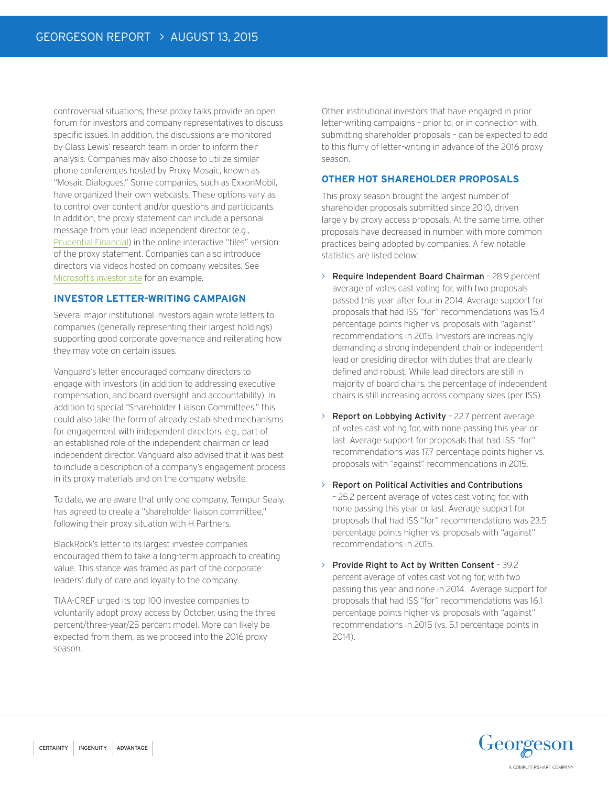controversial situations, these proxy talks provide an open forum for investors and company representatives to discuss specific issues. In addition, the discussions are monitored by Glass Lewis' research team in order to inform their analysis. Companies may also choose to utilize similar phone conferences hosted by Proxy Mosaic, known as "Mosaic Dialogues." Some companies, such as ExxonMobil, have organized their own webcasts. These options vary as to control over content and/or questions and participants. In addition, the proxy statement can include a personal message from your lead independent director (e.g., Prudential Financial) in the online interactive "tiles" version of the proxy statement. Companies can also introduce directors via videos hosted on company websites. See Microsoft's investor site for an example.

#### **INVESTOR LETTER-WRITING CAMPAIGN**

Several major institutional investors again wrote letters to companies (generally representing their largest holdings) supporting good corporate governance and reiterating how they may vote on certain issues.

Vanguard's letter encouraged company directors to engage with investors (in addition to addressing executive compensation, and board oversight and accountability). In addition to special "Shareholder Liaison Committees," this could also take the form of already established mechanisms for engagement with independent directors, e.g., part of an established role of the independent chairman or lead independent director. Vanguard also advised that it was best to include a description of a company's engagement process in its proxy materials and on the company website.

To date, we are aware that only one company, Tempur Sealy, has agreed to create a "shareholder liaison committee," following their proxy situation with H Partners.

BlackRock's letter to its largest investee companies encouraged them to take a long-term approach to creating value. This stance was framed as part of the corporate leaders' duty of care and loyalty to the company.

TIAA-CREF urged its top 100 investee companies to voluntarily adopt proxy access by October, using the three percent/three-year/25 percent model. More can likely be expected from them, as we proceed into the 2016 proxy season.

Other institutional investors that have engaged in prior letter-writing campaigns – prior to, or in connection with, submitting shareholder proposals – can be expected to add to this flurry of letter-writing in advance of the 2016 proxy season.

### **OTHER HOT SHAREHOLDER PROPOSALS**

This proxy season brought the largest number of shareholder proposals submitted since 2010, driven largely by proxy access proposals. At the same time, other proposals have decreased in number, with more common practices being adopted by companies. A few notable statistics are listed below:

- > Require Independent Board Chairman 28.9 percent average of votes cast voting for, with two proposals passed this year after four in 2014. Average support for proposals that had ISS "for" recommendations was 15.4 percentage points higher vs. proposals with "against" recommendations in 2015. Investors are increasingly demanding a strong independent chair or independent lead or presiding director with duties that are clearly defined and robust. While lead directors are still in majority of board chairs, the percentage of independent chairs is still increasing across company sizes (per ISS).
- > Report on Lobbying Activity 22.7 percent average of votes cast voting for, with none passing this year or last. Average support for proposals that had ISS "for" recommendations was 17.7 percentage points higher vs. proposals with "against" recommendations in 2015.
- > Report on Political Activities and Contributions – 25.2 percent average of votes cast voting for, with none passing this year or last. Average support for proposals that had ISS "for" recommendations was 23.5 percentage points higher vs. proposals with "against" recommendations in 2015.
- > Provide Right to Act by Written Consent 39.2 percent average of votes cast voting for, with two passing this year and none in 2014. Average support for proposals that had ISS "for" recommendations was 16.1 percentage points higher vs. proposals with "against" recommendations in 2015 (vs. 5.1 percentage points in 2014).

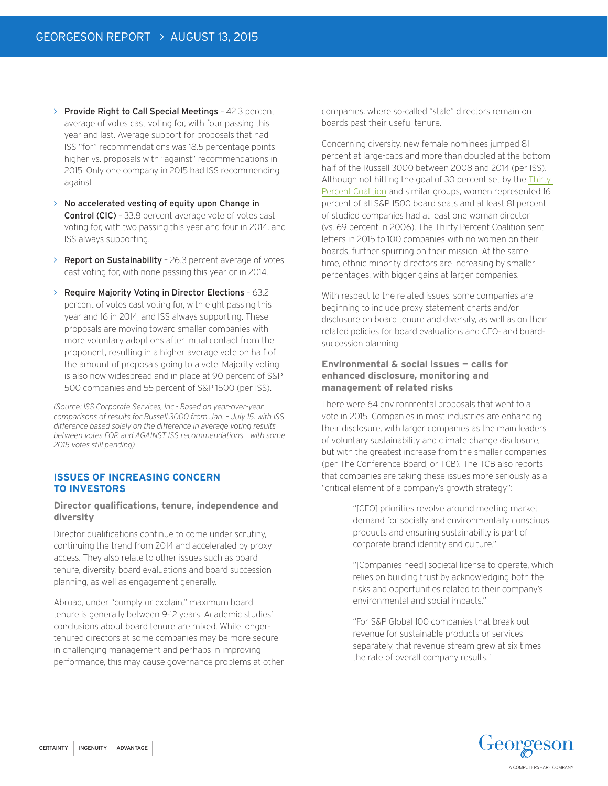- > Provide Right to Call Special Meetings 42.3 percent average of votes cast voting for, with four passing this year and last. Average support for proposals that had ISS "for" recommendations was 18.5 percentage points higher vs. proposals with "against" recommendations in 2015. Only one company in 2015 had ISS recommending against.
- > No accelerated vesting of equity upon Change in Control (CIC) - 33.8 percent average vote of votes cast voting for, with two passing this year and four in 2014, and ISS always supporting.
- > Report on Sustainability 26.3 percent average of votes cast voting for, with none passing this year or in 2014.
- > Require Majority Voting in Director Elections 63.2 percent of votes cast voting for, with eight passing this year and 16 in 2014, and ISS always supporting. These proposals are moving toward smaller companies with more voluntary adoptions after initial contact from the proponent, resulting in a higher average vote on half of the amount of proposals going to a vote. Majority voting is also now widespread and in place at 90 percent of S&P 500 companies and 55 percent of S&P 1500 (per ISS).

*(Source: ISS Corporate Services, Inc.- Based on year-over-year comparisons of results for Russell 3000 from Jan. – July 15, with ISS difference based solely on the difference in average voting results between votes FOR and AGAINST ISS recommendations – with some 2015 votes still pending)*

#### **ISSUES OF INCREASING CONCERN TO INVESTORS**

#### **Director qualifications, tenure, independence and diversity**

Director qualifications continue to come under scrutiny, continuing the trend from 2014 and accelerated by proxy access. They also relate to other issues such as board tenure, diversity, board evaluations and board succession planning, as well as engagement generally.

Abroad, under "comply or explain," maximum board tenure is generally between 9-12 years. Academic studies' conclusions about board tenure are mixed. While longertenured directors at some companies may be more secure in challenging management and perhaps in improving performance, this may cause governance problems at other companies, where so-called "stale" directors remain on boards past their useful tenure.

Concerning diversity, new female nominees jumped 81 percent at large-caps and more than doubled at the bottom half of the Russell 3000 between 2008 and 2014 (per ISS). Although not hitting the goal of 30 percent set by the Thirty Percent Coalition and similar groups, women represented 16 percent of all S&P 1500 board seats and at least 81 percent of studied companies had at least one woman director (vs. 69 percent in 2006). The Thirty Percent Coalition sent letters in 2015 to 100 companies with no women on their boards, further spurring on their mission. At the same time, ethnic minority directors are increasing by smaller percentages, with bigger gains at larger companies.

With respect to the related issues, some companies are beginning to include proxy statement charts and/or disclosure on board tenure and diversity, as well as on their related policies for board evaluations and CEO- and boardsuccession planning.

#### **Environmental & social issues — calls for enhanced disclosure, monitoring and management of related risks**

There were 64 environmental proposals that went to a vote in 2015. Companies in most industries are enhancing their disclosure, with larger companies as the main leaders of voluntary sustainability and climate change disclosure, but with the greatest increase from the smaller companies (per The Conference Board, or TCB). The TCB also reports that companies are taking these issues more seriously as a "critical element of a company's growth strategy":

> "[CEO] priorities revolve around meeting market demand for socially and environmentally conscious products and ensuring sustainability is part of corporate brand identity and culture."

"[Companies need] societal license to operate, which relies on building trust by acknowledging both the risks and opportunities related to their company's environmental and social impacts."

"For S&P Global 100 companies that break out revenue for sustainable products or services separately, that revenue stream grew at six times the rate of overall company results."